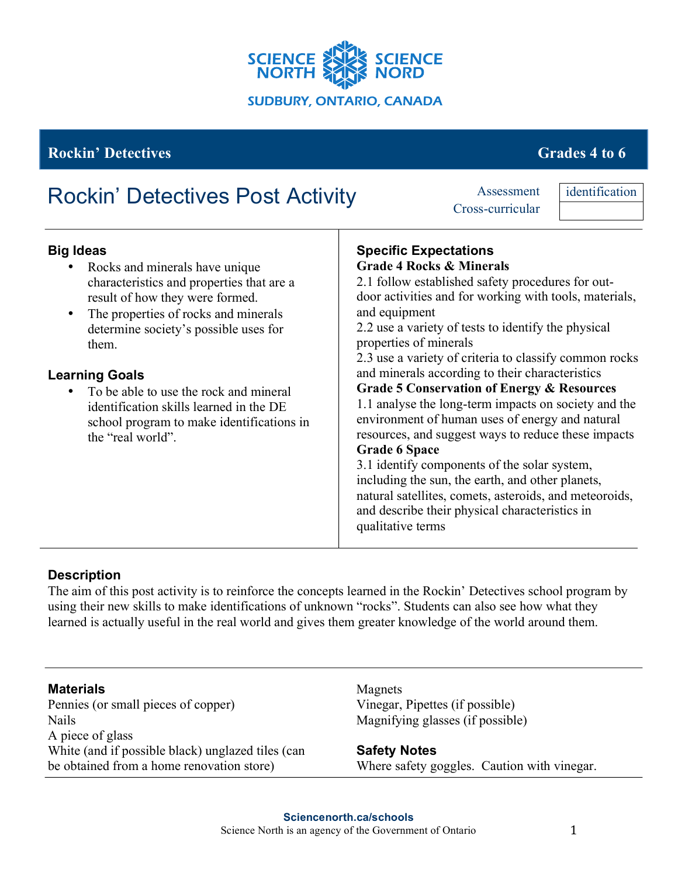

### **Rockin' Detectives Grades 4 to 6**

# Rockin' Detectives Post Activity Assessment

Cross-curricular

identification

| <b>Big Ideas</b><br>Rocks and minerals have unique<br>characteristics and properties that are a<br>result of how they were formed.<br>The properties of rocks and minerals<br>determine society's possible uses for<br>them.<br><b>Learning Goals</b><br>To be able to use the rock and mineral<br>identification skills learned in the DE<br>school program to make identifications in<br>the "real world". | <b>Specific Expectations</b><br><b>Grade 4 Rocks &amp; Minerals</b><br>2.1 follow established safety procedures for out-<br>door activities and for working with tools, materials,<br>and equipment<br>2.2 use a variety of tests to identify the physical<br>properties of minerals<br>2.3 use a variety of criteria to classify common rocks<br>and minerals according to their characteristics<br><b>Grade 5 Conservation of Energy &amp; Resources</b><br>1.1 analyse the long-term impacts on society and the<br>environment of human uses of energy and natural<br>resources, and suggest ways to reduce these impacts<br><b>Grade 6 Space</b><br>3.1 identify components of the solar system,<br>including the sun, the earth, and other planets,<br>natural satellites, comets, asteroids, and meteoroids,<br>and describe their physical characteristics in<br>qualitative terms |
|--------------------------------------------------------------------------------------------------------------------------------------------------------------------------------------------------------------------------------------------------------------------------------------------------------------------------------------------------------------------------------------------------------------|-------------------------------------------------------------------------------------------------------------------------------------------------------------------------------------------------------------------------------------------------------------------------------------------------------------------------------------------------------------------------------------------------------------------------------------------------------------------------------------------------------------------------------------------------------------------------------------------------------------------------------------------------------------------------------------------------------------------------------------------------------------------------------------------------------------------------------------------------------------------------------------------|
|--------------------------------------------------------------------------------------------------------------------------------------------------------------------------------------------------------------------------------------------------------------------------------------------------------------------------------------------------------------------------------------------------------------|-------------------------------------------------------------------------------------------------------------------------------------------------------------------------------------------------------------------------------------------------------------------------------------------------------------------------------------------------------------------------------------------------------------------------------------------------------------------------------------------------------------------------------------------------------------------------------------------------------------------------------------------------------------------------------------------------------------------------------------------------------------------------------------------------------------------------------------------------------------------------------------------|

#### **Description**

The aim of this post activity is to reinforce the concepts learned in the Rockin' Detectives school program by using their new skills to make identifications of unknown "rocks". Students can also see how what they learned is actually useful in the real world and gives them greater knowledge of the world around them.

#### **Materials**

Pennies (or small pieces of copper) Nails A piece of glass White (and if possible black) unglazed tiles (can be obtained from a home renovation store)

Magnets Vinegar, Pipettes (if possible) Magnifying glasses (if possible)

**Safety Notes** Where safety goggles. Caution with vinegar.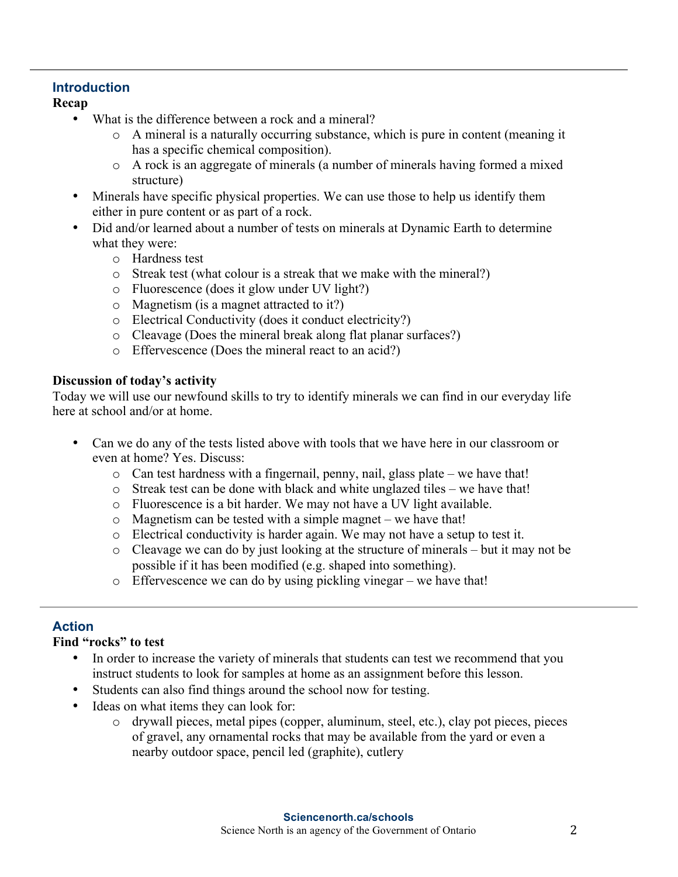#### **Introduction**

**Recap**

- What is the difference between a rock and a mineral?
	- o A mineral is a naturally occurring substance, which is pure in content (meaning it has a specific chemical composition).
	- o A rock is an aggregate of minerals (a number of minerals having formed a mixed structure)
- Minerals have specific physical properties. We can use those to help us identify them either in pure content or as part of a rock.
- Did and/or learned about a number of tests on minerals at Dynamic Earth to determine what they were:
	- o Hardness test
	- o Streak test (what colour is a streak that we make with the mineral?)
	- o Fluorescence (does it glow under UV light?)
	- o Magnetism (is a magnet attracted to it?)
	- o Electrical Conductivity (does it conduct electricity?)
	- o Cleavage (Does the mineral break along flat planar surfaces?)
	- o Effervescence (Does the mineral react to an acid?)

#### **Discussion of today's activity**

Today we will use our newfound skills to try to identify minerals we can find in our everyday life here at school and/or at home.

- Can we do any of the tests listed above with tools that we have here in our classroom or even at home? Yes. Discuss:
	- o Can test hardness with a fingernail, penny, nail, glass plate we have that!
	- o Streak test can be done with black and white unglazed tiles we have that!
	- o Fluorescence is a bit harder. We may not have a UV light available.
	- o Magnetism can be tested with a simple magnet we have that!
	- o Electrical conductivity is harder again. We may not have a setup to test it.
	- o Cleavage we can do by just looking at the structure of minerals but it may not be possible if it has been modified (e.g. shaped into something).
	- o Effervescence we can do by using pickling vinegar we have that!

#### **Action**

#### **Find "rocks" to test**

- In order to increase the variety of minerals that students can test we recommend that you instruct students to look for samples at home as an assignment before this lesson.
- Students can also find things around the school now for testing.
- Ideas on what items they can look for:
	- o drywall pieces, metal pipes (copper, aluminum, steel, etc.), clay pot pieces, pieces of gravel, any ornamental rocks that may be available from the yard or even a nearby outdoor space, pencil led (graphite), cutlery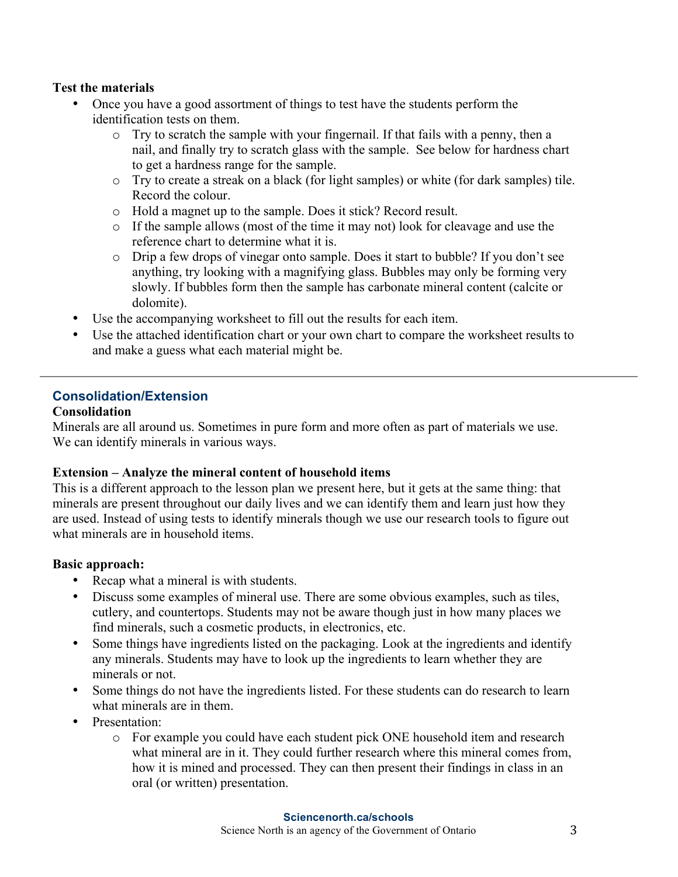#### **Test the materials**

- Once you have a good assortment of things to test have the students perform the identification tests on them.
	- o Try to scratch the sample with your fingernail. If that fails with a penny, then a nail, and finally try to scratch glass with the sample. See below for hardness chart to get a hardness range for the sample.
	- o Try to create a streak on a black (for light samples) or white (for dark samples) tile. Record the colour.
	- o Hold a magnet up to the sample. Does it stick? Record result.
	- o If the sample allows (most of the time it may not) look for cleavage and use the reference chart to determine what it is.
	- o Drip a few drops of vinegar onto sample. Does it start to bubble? If you don't see anything, try looking with a magnifying glass. Bubbles may only be forming very slowly. If bubbles form then the sample has carbonate mineral content (calcite or dolomite).
- Use the accompanying worksheet to fill out the results for each item.
- Use the attached identification chart or your own chart to compare the worksheet results to and make a guess what each material might be.

## **Consolidation/Extension**

#### **Consolidation**

Minerals are all around us. Sometimes in pure form and more often as part of materials we use. We can identify minerals in various ways.

#### **Extension – Analyze the mineral content of household items**

This is a different approach to the lesson plan we present here, but it gets at the same thing: that minerals are present throughout our daily lives and we can identify them and learn just how they are used. Instead of using tests to identify minerals though we use our research tools to figure out what minerals are in household items.

#### **Basic approach:**

- Recap what a mineral is with students.
- Discuss some examples of mineral use. There are some obvious examples, such as tiles, cutlery, and countertops. Students may not be aware though just in how many places we find minerals, such a cosmetic products, in electronics, etc.
- Some things have ingredients listed on the packaging. Look at the ingredients and identify any minerals. Students may have to look up the ingredients to learn whether they are minerals or not.
- Some things do not have the ingredients listed. For these students can do research to learn what minerals are in them.
- Presentation:
	- o For example you could have each student pick ONE household item and research what mineral are in it. They could further research where this mineral comes from, how it is mined and processed. They can then present their findings in class in an oral (or written) presentation.